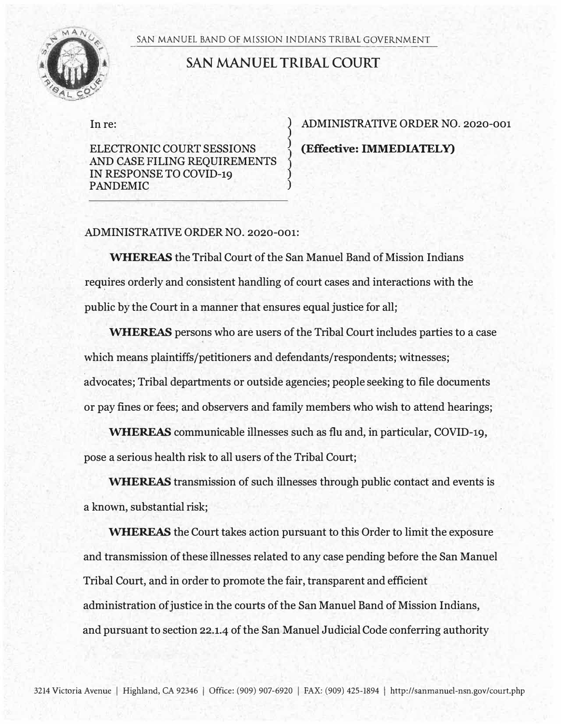SAN MANUEL BAND OF MISSION INDIANS TRIBAL GOVERNMENT



## **SAN MANUEL TRIBAL COURT**

**)** 

**) )** 

In re:

ELECTRONIC COURT SESSIONS AND CASE FILING REQUIREMENTS IN RESPONSE TO COVID-19 PANDEMIC

) ADMINISTRATIVE ORDER NO. 2020-001 **)** (Effective: IMMEDIATELY)

## ADMINISTRATIVE ORDER NO. 2020-001:

WHEREAS the Tribal Court of the San Manuel Band of Mission Indians requires orderly and consistent handling of court cases and interactions with the public by the Court in a manner that ensures equal justice for all;

WHEREAS persons who are users of the Tribal Court includes parties to a case which means plaintiffs/petitioners and defendants/respondents; witnesses; advocates; Tribal departments or outside agencies; people seeking to file documents or pay fines or fees; and observers and family members who wish to attend hearings;

WHEREAS communicable illnesses such as flu and, in particular, COVID-19, pose a serious health risk to all users of the Tribal Court;

WHEREAS transmission of such illnesses through public contact and events is a known, substantial risk;

WHEREAS the Court takes action pursuant to this Order to limit the exposure and transmission of these illnesses related to any case pending before the San Manuel Tribal Court, and in order to promote the fair, transparent and efficient administration of justice in the courts of the San Manuel Band of Mission Indians, and pursuant to section 22.1.4 of the San Manuel Judicial Code conferring authority